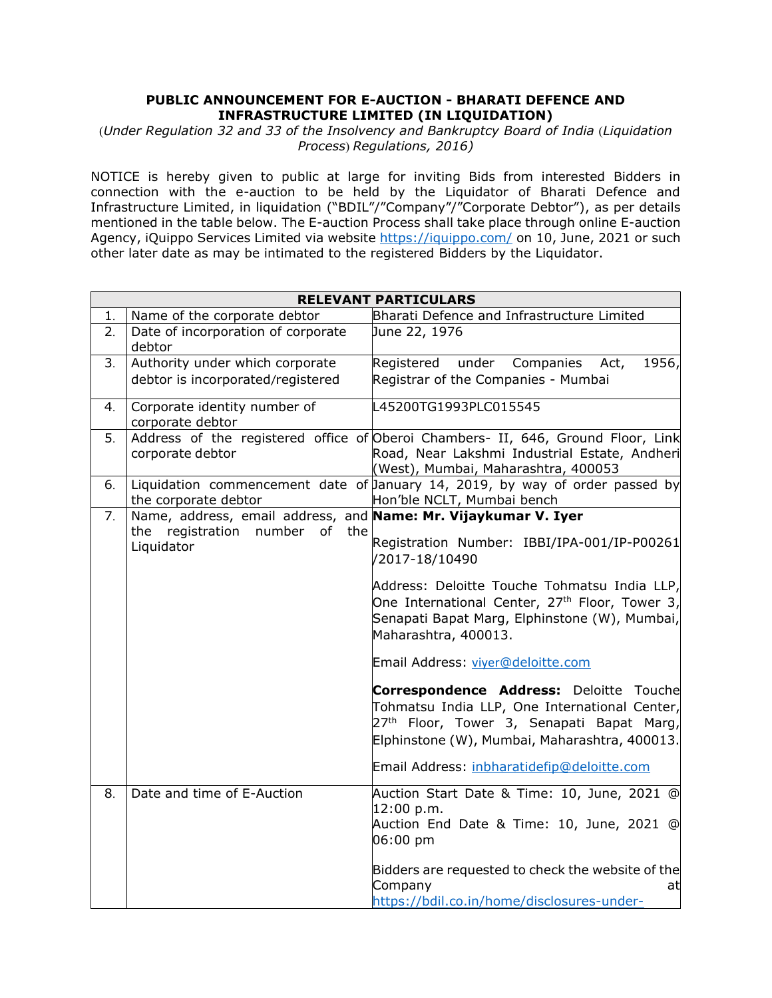## **PUBLIC ANNOUNCEMENT FOR E-AUCTION - BHARATI DEFENCE AND INFRASTRUCTURE LIMITED (IN LIQUIDATION)**

(*Under Regulation 32 and 33 of the Insolvency and Bankruptcy Board of India* (*Liquidation Process*) *Regulations, 2016)*

NOTICE is hereby given to public at large for inviting Bids from interested Bidders in connection with the e-auction to be held by the Liquidator of Bharati Defence and Infrastructure Limited, in liquidation ("BDIL"/"Company"/"Corporate Debtor"), as per details mentioned in the table below. The E-auction Process shall take place through online E-auction Agency, iQuippo Services Limited via website<https://iquippo.com/> on 10, June, 2021 or such other later date as may be intimated to the registered Bidders by the Liquidator.

|    | <b>RELEVANT PARTICULARS</b>                                    |                                                                                                                                                                                                           |  |  |  |  |
|----|----------------------------------------------------------------|-----------------------------------------------------------------------------------------------------------------------------------------------------------------------------------------------------------|--|--|--|--|
| 1. | Name of the corporate debtor                                   | Bharati Defence and Infrastructure Limited                                                                                                                                                                |  |  |  |  |
| 2. | Date of incorporation of corporate<br>debtor                   | June 22, 1976                                                                                                                                                                                             |  |  |  |  |
| 3. | Authority under which corporate                                | under Companies<br>Act,<br>1956,<br>Registered                                                                                                                                                            |  |  |  |  |
|    | debtor is incorporated/registered                              | Registrar of the Companies - Mumbai                                                                                                                                                                       |  |  |  |  |
| 4. | Corporate identity number of<br>corporate debtor               | L45200TG1993PLC015545                                                                                                                                                                                     |  |  |  |  |
| 5. | corporate debtor                                               | Address of the registered office of Oberoi Chambers- II, 646, Ground Floor, Link<br>Road, Near Lakshmi Industrial Estate, Andheri<br>(West), Mumbai, Maharashtra, 400053                                  |  |  |  |  |
| 6. | the corporate debtor                                           | Liquidation commencement date of January 14, 2019, by way of order passed by<br>Hon'ble NCLT, Mumbai bench                                                                                                |  |  |  |  |
| 7. | Name, address, email address, and Name: Mr. Vijaykumar V. Iyer |                                                                                                                                                                                                           |  |  |  |  |
|    | the registration number<br>of<br>the<br>Liquidator             | Registration Number: IBBI/IPA-001/IP-P00261<br>/2017-18/10490                                                                                                                                             |  |  |  |  |
|    |                                                                | Address: Deloitte Touche Tohmatsu India LLP,<br>One International Center, 27 <sup>th</sup> Floor, Tower 3,<br>Senapati Bapat Marg, Elphinstone (W), Mumbai,<br>Maharashtra, 400013.                       |  |  |  |  |
|    |                                                                | Email Address: viyer@deloitte.com                                                                                                                                                                         |  |  |  |  |
|    |                                                                | <b>Correspondence Address:</b> Deloitte Touche<br>Tohmatsu India LLP, One International Center,<br>27 <sup>th</sup> Floor, Tower 3, Senapati Bapat Marg,<br>Elphinstone (W), Mumbai, Maharashtra, 400013. |  |  |  |  |
|    |                                                                | Email Address: inbharatidefip@deloitte.com                                                                                                                                                                |  |  |  |  |
| 8. | Date and time of E-Auction                                     | Auction Start Date & Time: 10, June, 2021 @<br>12:00 p.m.<br>Auction End Date & Time: 10, June, 2021 @<br>06:00 pm                                                                                        |  |  |  |  |
|    |                                                                | Bidders are requested to check the website of the<br>Company<br>at<br>https://bdil.co.in/home/disclosures-under-                                                                                          |  |  |  |  |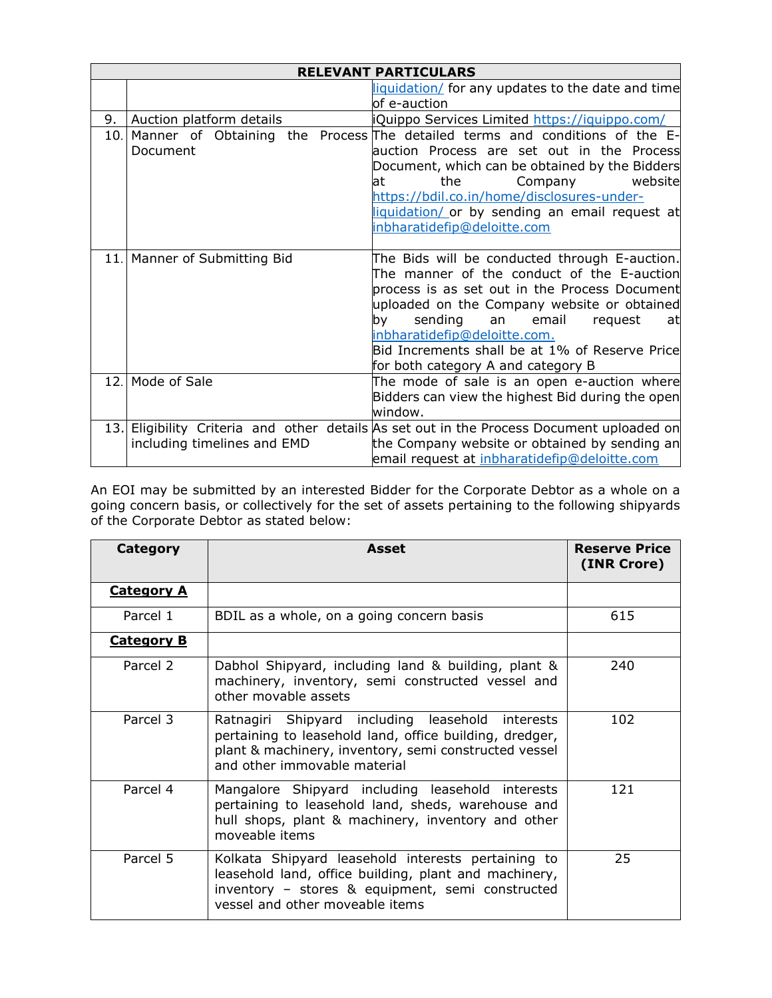|      | <b>RELEVANT PARTICULARS</b>  |                                                                                                                                                                                                                                                                                                                                                                  |  |  |  |
|------|------------------------------|------------------------------------------------------------------------------------------------------------------------------------------------------------------------------------------------------------------------------------------------------------------------------------------------------------------------------------------------------------------|--|--|--|
|      |                              | liquidation/ for any updates to the date and time                                                                                                                                                                                                                                                                                                                |  |  |  |
|      |                              | lof e-auction                                                                                                                                                                                                                                                                                                                                                    |  |  |  |
| 9.   | Auction platform details     | iQuippo Services Limited https://iquippo.com/                                                                                                                                                                                                                                                                                                                    |  |  |  |
|      | Document                     | 10. Manner of Obtaining the Process The detailed terms and conditions of the E-<br>auction Process are set out in the Process<br>Document, which can be obtained by the Bidders<br>website<br>the<br>Company<br>at<br>https://bdil.co.in/home/disclosures-under-<br>liquidation/ or by sending an email request at<br>inbharatidefip@deloitte.com                |  |  |  |
|      | 11. Manner of Submitting Bid | The Bids will be conducted through E-auction.<br>The manner of the conduct of the E-auction<br>process is as set out in the Process Document<br>uploaded on the Company website or obtained<br>sending an email<br>bv —<br>request<br>at<br>inbharatidefip@deloitte.com.<br>Bid Increments shall be at 1% of Reserve Price<br>for both category A and category B |  |  |  |
| 12.1 | Mode of Sale                 | The mode of sale is an open e-auction where<br>Bidders can view the highest Bid during the open<br>window.                                                                                                                                                                                                                                                       |  |  |  |
|      | including timelines and EMD  | 13. Eligibility Criteria and other details As set out in the Process Document uploaded on<br>the Company website or obtained by sending an<br>email request at inbharatidefip@deloitte.com                                                                                                                                                                       |  |  |  |

An EOI may be submitted by an interested Bidder for the Corporate Debtor as a whole on a going concern basis, or collectively for the set of assets pertaining to the following shipyards of the Corporate Debtor as stated below:

| Category          | Asset                                                                                                                                                                                                | <b>Reserve Price</b><br>(INR Crore) |
|-------------------|------------------------------------------------------------------------------------------------------------------------------------------------------------------------------------------------------|-------------------------------------|
| <b>Category A</b> |                                                                                                                                                                                                      |                                     |
| Parcel 1          | BDIL as a whole, on a going concern basis                                                                                                                                                            | 615                                 |
| <b>Category B</b> |                                                                                                                                                                                                      |                                     |
| Parcel 2          | Dabhol Shipyard, including land & building, plant &<br>machinery, inventory, semi constructed vessel and<br>other movable assets                                                                     | 240                                 |
| Parcel 3          | Ratnagiri Shipyard including leasehold interests<br>pertaining to leasehold land, office building, dredger,<br>plant & machinery, inventory, semi constructed vessel<br>and other immovable material | 102                                 |
| Parcel 4          | Mangalore Shipyard including leasehold interests<br>pertaining to leasehold land, sheds, warehouse and<br>hull shops, plant & machinery, inventory and other<br>moveable items                       | 121                                 |
| Parcel 5          | Kolkata Shipyard leasehold interests pertaining to<br>leasehold land, office building, plant and machinery,<br>inventory - stores & equipment, semi constructed<br>vessel and other moveable items   | 25                                  |